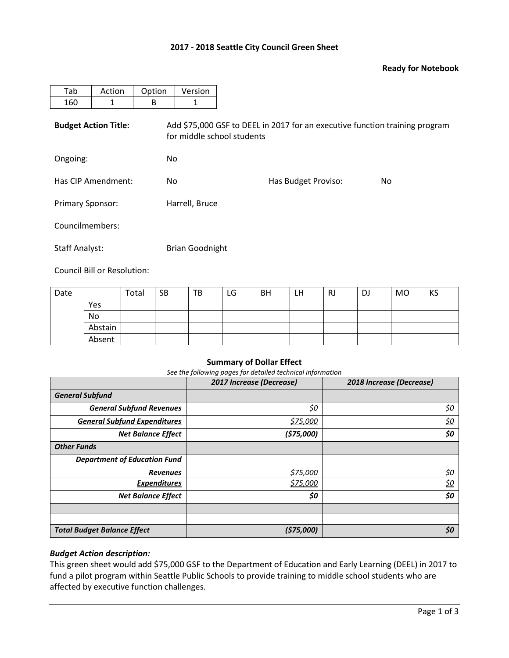## **2017 - 2018 Seattle City Council Green Sheet**

## **Ready for Notebook**

| Tab                         | Action | Option | Version                                                                                                   |                     |     |  |  |  |  |
|-----------------------------|--------|--------|-----------------------------------------------------------------------------------------------------------|---------------------|-----|--|--|--|--|
| 160                         | 1      | B      | 1                                                                                                         |                     |     |  |  |  |  |
| <b>Budget Action Title:</b> |        |        | Add \$75,000 GSF to DEEL in 2017 for an executive function training program<br>for middle school students |                     |     |  |  |  |  |
| Ongoing:                    |        | No.    |                                                                                                           |                     |     |  |  |  |  |
| Has CIP Amendment:          |        | No.    |                                                                                                           | Has Budget Proviso: | No. |  |  |  |  |
| <b>Primary Sponsor:</b>     |        |        | Harrell, Bruce                                                                                            |                     |     |  |  |  |  |
| Councilmembers:             |        |        |                                                                                                           |                     |     |  |  |  |  |
| <b>Staff Analyst:</b>       |        |        | <b>Brian Goodnight</b>                                                                                    |                     |     |  |  |  |  |

Council Bill or Resolution:

| Date |         | Total | <b>SB</b> | TB | LG | <b>BH</b> | LН | <b>RJ</b> | <b>DJ</b> | MO | KS |
|------|---------|-------|-----------|----|----|-----------|----|-----------|-----------|----|----|
|      | Yes     |       |           |    |    |           |    |           |           |    |    |
|      | No      |       |           |    |    |           |    |           |           |    |    |
|      | Abstain |       |           |    |    |           |    |           |           |    |    |
|      | Absent  |       |           |    |    |           |    |           |           |    |    |

## **Summary of Dollar Effect**

*See the following pages for detailed technical information*

|                                     | 2017 Increase (Decrease) | 2018 Increase (Decrease) |
|-------------------------------------|--------------------------|--------------------------|
| <b>General Subfund</b>              |                          |                          |
| <b>General Subfund Revenues</b>     | \$0                      | \$0                      |
| <b>General Subfund Expenditures</b> | \$75,000                 | <u>\$0</u>               |
| <b>Net Balance Effect</b>           | (\$75,000)               | \$0                      |
| <b>Other Funds</b>                  |                          |                          |
| <b>Department of Education Fund</b> |                          |                          |
| <b>Revenues</b>                     | \$75,000                 | \$0                      |
| <b>Expenditures</b>                 | \$75,000                 | <u>\$0</u>               |
| <b>Net Balance Effect</b>           | \$0                      | \$0                      |
|                                     |                          |                          |
|                                     |                          |                          |
| <b>Total Budget Balance Effect</b>  | (\$75,000)               | \$0                      |

## *Budget Action description:*

This green sheet would add \$75,000 GSF to the Department of Education and Early Learning (DEEL) in 2017 to fund a pilot program within Seattle Public Schools to provide training to middle school students who are affected by executive function challenges.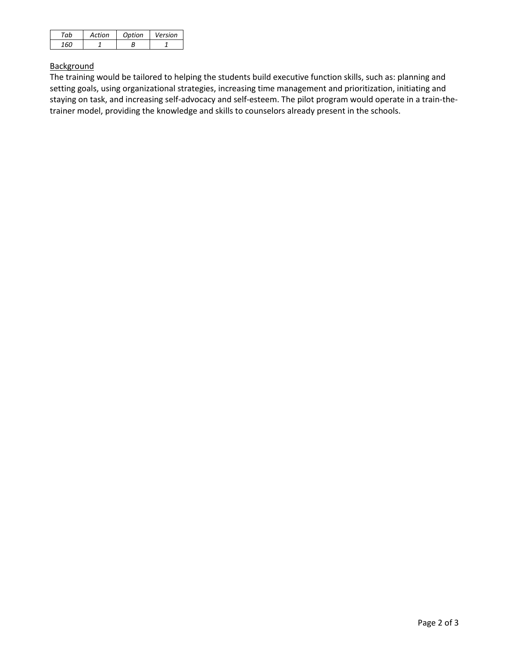| ้~ ไ | Action | Option | Version |
|------|--------|--------|---------|
|      |        |        |         |

# **Background**

The training would be tailored to helping the students build executive function skills, such as: planning and setting goals, using organizational strategies, increasing time management and prioritization, initiating and staying on task, and increasing self-advocacy and self-esteem. The pilot program would operate in a train-thetrainer model, providing the knowledge and skills to counselors already present in the schools.